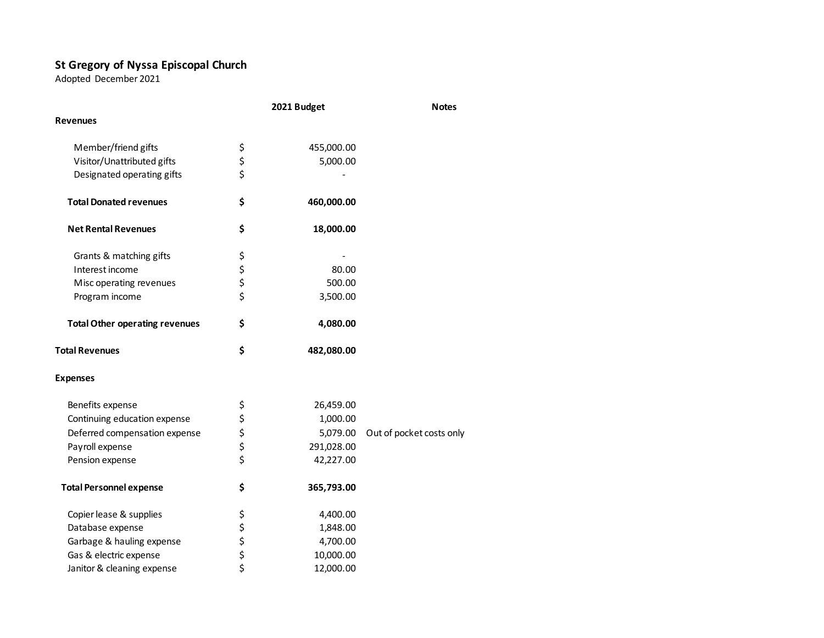## **St Gregory of Nyssa Episcopal Church**

Adopted December 2021

|                                       | 2021 Budget |            | <b>Notes</b>             |
|---------------------------------------|-------------|------------|--------------------------|
| <b>Revenues</b>                       |             |            |                          |
| Member/friend gifts                   |             | 455,000.00 |                          |
| Visitor/Unattributed gifts            | \$\$\$      | 5,000.00   |                          |
| Designated operating gifts            |             |            |                          |
| <b>Total Donated revenues</b>         | \$          | 460,000.00 |                          |
| <b>Net Rental Revenues</b>            | \$          | 18,000.00  |                          |
| Grants & matching gifts               |             |            |                          |
| Interest income                       | \$ \$ \$ \$ | 80.00      |                          |
| Misc operating revenues               |             | 500.00     |                          |
| Program income                        |             | 3,500.00   |                          |
| <b>Total Other operating revenues</b> | \$          | 4,080.00   |                          |
| <b>Total Revenues</b>                 | \$          | 482,080.00 |                          |
| <b>Expenses</b>                       |             |            |                          |
| Benefits expense                      |             | 26,459.00  |                          |
| Continuing education expense          | \$ \$ \$ \$ | 1,000.00   |                          |
| Deferred compensation expense         |             | 5,079.00   | Out of pocket costs only |
| Payroll expense                       |             | 291,028.00 |                          |
| Pension expense                       | \$          | 42,227.00  |                          |
| <b>Total Personnel expense</b>        | \$          | 365,793.00 |                          |
| Copier lease & supplies               | \$          | 4,400.00   |                          |
| Database expense                      |             | 1,848.00   |                          |
| Garbage & hauling expense             |             | 4,700.00   |                          |
| Gas & electric expense                | \$ \$ \$ \$ | 10,000.00  |                          |
| Janitor & cleaning expense            |             | 12,000.00  |                          |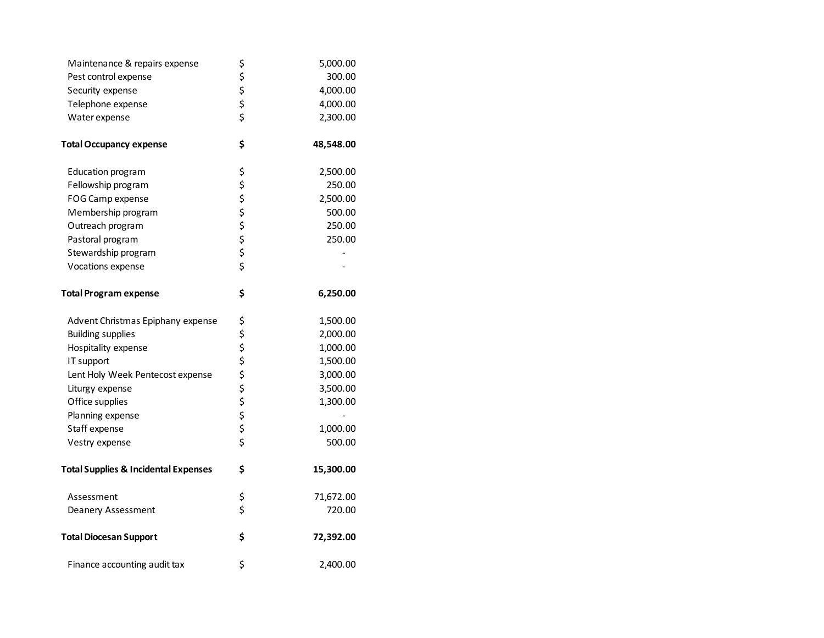| Maintenance & repairs expense                   | \$          | 5,000.00  |
|-------------------------------------------------|-------------|-----------|
| Pest control expense                            |             | 300.00    |
| Security expense                                | \$ \$ \$ \$ | 4,000.00  |
| Telephone expense                               |             | 4,000.00  |
| Water expense                                   |             | 2,300.00  |
| <b>Total Occupancy expense</b>                  | \$          | 48,548.00 |
| <b>Education program</b>                        | \$          | 2,500.00  |
| Fellowship program                              |             | 250.00    |
| FOG Camp expense                                |             | 2,500.00  |
| Membership program                              |             | 500.00    |
| Outreach program                                | ぐうさか        | 250.00    |
| Pastoral program                                |             | 250.00    |
| Stewardship program                             |             |           |
| Vocations expense                               |             |           |
| <b>Total Program expense</b>                    | \$          | 6,250.00  |
| Advent Christmas Epiphany expense               | \$          | 1,500.00  |
| <b>Building supplies</b>                        |             | 2,000.00  |
| Hospitality expense                             | ぐうさくさい      | 1,000.00  |
| IT support                                      |             | 1,500.00  |
| Lent Holy Week Pentecost expense                |             | 3,000.00  |
| Liturgy expense                                 |             | 3,500.00  |
| Office supplies                                 |             | 1,300.00  |
| Planning expense                                |             |           |
| Staff expense                                   |             | 1,000.00  |
| Vestry expense                                  |             | 500.00    |
| <b>Total Supplies &amp; Incidental Expenses</b> | \$          | 15,300.00 |
| Assessment                                      | \$          | 71,672.00 |
| Deanery Assessment                              | \$          | 720.00    |
| <b>Total Diocesan Support</b>                   | \$          | 72,392.00 |
| Finance accounting audit tax                    | \$          | 2,400.00  |